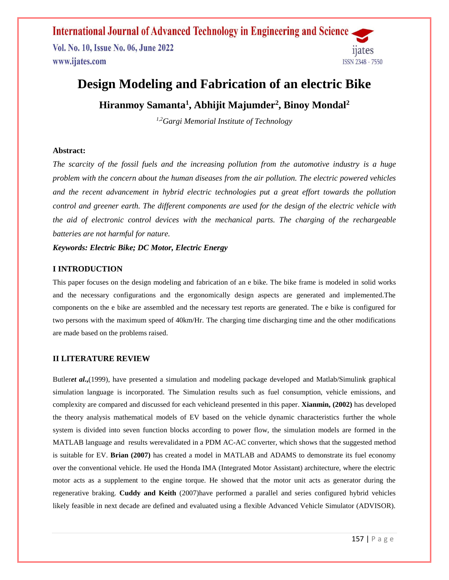Vol. No. 10, Issue No. 06, June 2022 www.ijates.com



# **Design Modeling and Fabrication of an electric Bike**

**Hiranmoy Samanta<sup>1</sup> , Abhijit Majumder<sup>2</sup> , Binoy Mondal<sup>2</sup>**

*1,2Gargi Memorial Institute of Technology*

#### **Abstract:**

*The scarcity of the fossil fuels and the increasing pollution from the automotive industry is a huge problem with the concern about the human diseases from the air pollution. The electric powered vehicles and the recent advancement in hybrid electric technologies put a great effort towards the pollution control and greener earth. The different components are used for the design of the electric vehicle with the aid of electronic control devices with the mechanical parts. The charging of the rechargeable batteries are not harmful for nature.*

*Keywords: Electric Bike; DC Motor, Electric Energy*

### **I INTRODUCTION**

This paper focuses on the design modeling and fabrication of an e bike. The bike frame is modeled in solid works and the necessary configurations and the ergonomically design aspects are generated and implemented.The components on the e bike are assembled and the necessary test reports are generated. The e bike is configured for two persons with the maximum speed of 40km/Hr. The charging time discharging time and the other modifications are made based on the problems raised.

### **II LITERATURE REVIEW**

Butler*et al***.,**(1999), have presented a simulation and modeling package developed and Matlab/Simulink graphical simulation language is incorporated. The Simulation results such as fuel consumption, vehicle emissions, and complexity are compared and discussed for each vehicleand presented in this paper. **Xianmin, (2002)** has developed the theory analysis mathematical models of EV based on the vehicle dynamic characteristics further the whole system is divided into seven function blocks according to power flow, the simulation models are formed in the MATLAB language and results werevalidated in a PDM AC-AC converter, which shows that the suggested method is suitable for EV. **Brian (2007)** has created a model in MATLAB and ADAMS to demonstrate its fuel economy over the conventional vehicle. He used the Honda IMA (Integrated Motor Assistant) architecture, where the electric motor acts as a supplement to the engine torque. He showed that the motor unit acts as generator during the regenerative braking. **Cuddy and Keith** (2007)have performed a parallel and series configured hybrid vehicles likely feasible in next decade are defined and evaluated using a flexible Advanced Vehicle Simulator (ADVISOR).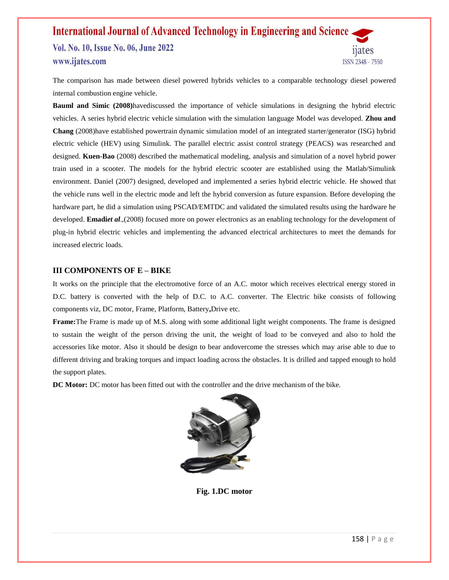Vol. No. 10, Issue No. 06, June 2022 www.ijates.com

ISSN 2348 - 7550

The comparison has made between diesel powered hybrids vehicles to a comparable technology diesel powered internal combustion engine vehicle.

**Bauml and Simic (2008)**havediscussed the importance of vehicle simulations in designing the hybrid electric vehicles. A series hybrid electric vehicle simulation with the simulation language Model was developed. **Zhou and Chang** (2008)have established powertrain dynamic simulation model of an integrated starter/generator (ISG) hybrid electric vehicle (HEV) using Simulink. The parallel electric assist control strategy (PEACS) was researched and designed. **Kuen-Bao** (2008) described the mathematical modeling, analysis and simulation of a novel hybrid power train used in a scooter. The models for the hybrid electric scooter are established using the Matlab/Simulink environment. Daniel (2007) designed, developed and implemented a series hybrid electric vehicle. He showed that the vehicle runs well in the electric mode and left the hybrid conversion as future expansion. Before developing the hardware part, he did a simulation using PSCAD/EMTDC and validated the simulated results using the hardware he developed. **Emadi***et al*.,(2008) focused more on power electronics as an enabling technology for the development of plug-in hybrid electric vehicles and implementing the advanced electrical architectures to meet the demands for increased electric loads.

#### **III COMPONENTS OF E – BIKE**

It works on the principle that the electromotive force of an A.C. motor which receives electrical energy stored in D.C. battery is converted with the help of D.C. to A.C. converter. The Electric bike consists of following components viz, DC motor, Frame, Platform, Battery**,**Drive etc.

**Frame:**The Frame is made up of M.S. along with some additional light weight components. The frame is designed to sustain the weight of the person driving the unit, the weight of load to be conveyed and also to hold the accessories like motor. Also it should be design to bear andovercome the stresses which may arise able to due to different driving and braking torques and impact loading across the obstacles. It is drilled and tapped enough to hold the support plates.

**DC Motor:** DC motor has been fitted out with the controller and the drive mechanism of the bike.



**Fig. 1.DC motor**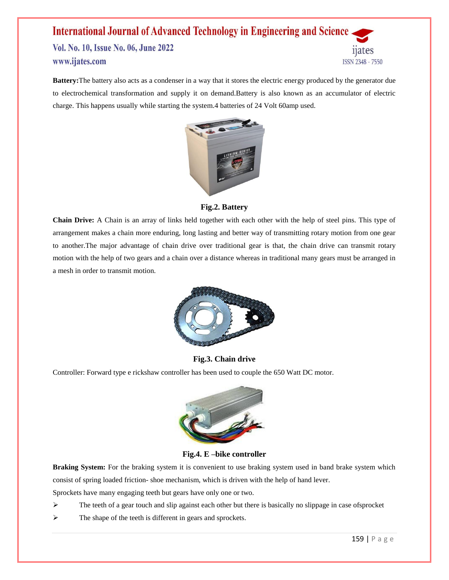Vol. No. 10, Issue No. 06, June 2022 www.ijates.com



**Battery:**The battery also acts as a condenser in a way that it stores the electric energy produced by the generator due to electrochemical transformation and supply it on demand.Battery is also known as an accumulator of electric charge. This happens usually while starting the system.4 batteries of 24 Volt 60amp used.



**Fig.2. Battery**

**Chain Drive:** A Chain is an array of links held together with each other with the help of steel pins. This type of arrangement makes a chain more enduring, long lasting and better way of transmitting rotary motion from one gear to another.The major advantage of chain drive over traditional gear is that, the chain drive can transmit rotary motion with the help of two gears and a chain over a distance whereas in traditional many gears must be arranged in a mesh in order to transmit motion.



### **Fig.3. Chain drive**

Controller: Forward type e rickshaw controller has been used to couple the 650 Watt DC motor.



**Fig.4. E –bike controller**

**Braking System:** For the braking system it is convenient to use braking system used in band brake system which consist of spring loaded friction- shoe mechanism, which is driven with the help of hand lever.

Sprockets have many engaging teeth but gears have only one or two.

- $\triangleright$  The teeth of a gear touch and slip against each other but there is basically no slippage in case of sprocket
- $\triangleright$  The shape of the teeth is different in gears and sprockets.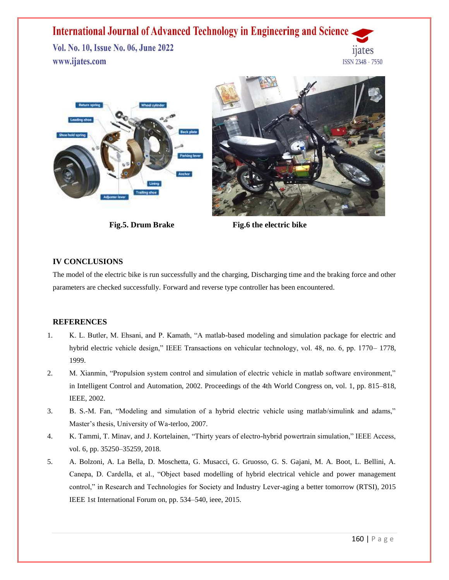Vol. No. 10, Issue No. 06, June 2022 www.ijates.com







**Fig.5. Drum Brake** Fig.6 the electric bike

### **IV CONCLUSIONS**

The model of the electric bike is run successfully and the charging, Discharging time and the braking force and other parameters are checked successfully. Forward and reverse type controller has been encountered.

#### **REFERENCES**

- 1. K. L. Butler, M. Ehsani, and P. Kamath, "A matlab-based modeling and simulation package for electric and hybrid electric vehicle design," IEEE Transactions on vehicular technology, vol. 48, no. 6, pp. 1770– 1778, 1999.
- 2. M. Xianmin, "Propulsion system control and simulation of electric vehicle in matlab software environment," in Intelligent Control and Automation, 2002. Proceedings of the 4th World Congress on, vol. 1, pp. 815–818, IEEE, 2002.
- 3. B. S.-M. Fan, "Modeling and simulation of a hybrid electric vehicle using matlab/simulink and adams," Master's thesis, University of Wa-terloo, 2007.
- 4. K. Tammi, T. Minav, and J. Kortelainen, "Thirty years of electro-hybrid powertrain simulation," IEEE Access, vol. 6, pp. 35250–35259, 2018.
- 5. A. Bolzoni, A. La Bella, D. Moschetta, G. Musacci, G. Gruosso, G. S. Gajani, M. A. Boot, L. Bellini, A. Canepa, D. Cardella, et al., "Object based modelling of hybrid electrical vehicle and power management control," in Research and Technologies for Society and Industry Lever-aging a better tomorrow (RTSI), 2015 IEEE 1st International Forum on, pp. 534–540, ieee, 2015.